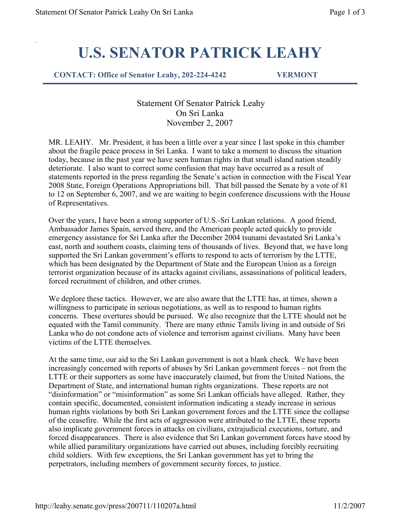## U.S. SENATOR PATRICK LEAHY

CONTACT: Office of Senator Leahy, 202-224-4242 VERMONT

 Statement Of Senator Patrick Leahy On Sri Lanka November 2, 2007

MR. LEAHY. Mr. President, it has been a little over a year since I last spoke in this chamber about the fragile peace process in Sri Lanka. I want to take a moment to discuss the situation today, because in the past year we have seen human rights in that small island nation steadily deteriorate. I also want to correct some confusion that may have occurred as a result of statements reported in the press regarding the Senate's action in connection with the Fiscal Year 2008 State, Foreign Operations Appropriations bill. That bill passed the Senate by a vote of 81 to 12 on September 6, 2007, and we are waiting to begin conference discussions with the House of Representatives.

Over the years, I have been a strong supporter of U.S.-Sri Lankan relations. A good friend, Ambassador James Spain, served there, and the American people acted quickly to provide emergency assistance for Sri Lanka after the December 2004 tsunami devastated Sri Lanka's east, north and southern coasts, claiming tens of thousands of lives. Beyond that, we have long supported the Sri Lankan government's efforts to respond to acts of terrorism by the LTTE, which has been designated by the Department of State and the European Union as a foreign terrorist organization because of its attacks against civilians, assassinations of political leaders, forced recruitment of children, and other crimes.

We deplore these tactics. However, we are also aware that the LTTE has, at times, shown a willingness to participate in serious negotiations, as well as to respond to human rights concerns. These overtures should be pursued. We also recognize that the LTTE should not be equated with the Tamil community. There are many ethnic Tamils living in and outside of Sri Lanka who do not condone acts of violence and terrorism against civilians. Many have been victims of the LTTE themselves.

At the same time, our aid to the Sri Lankan government is not a blank check. We have been increasingly concerned with reports of abuses by Sri Lankan government forces – not from the LTTE or their supporters as some have inaccurately claimed, but from the United Nations, the Department of State, and international human rights organizations. These reports are not "disinformation" or "misinformation" as some Sri Lankan officials have alleged. Rather, they contain specific, documented, consistent information indicating a steady increase in serious human rights violations by both Sri Lankan government forces and the LTTE since the collapse of the ceasefire. While the first acts of aggression were attributed to the LTTE, these reports also implicate government forces in attacks on civilians, extrajudicial executions, torture, and forced disappearances. There is also evidence that Sri Lankan government forces have stood by while allied paramilitary organizations have carried out abuses, including forcibly recruiting child soldiers. With few exceptions, the Sri Lankan government has yet to bring the perpetrators, including members of government security forces, to justice.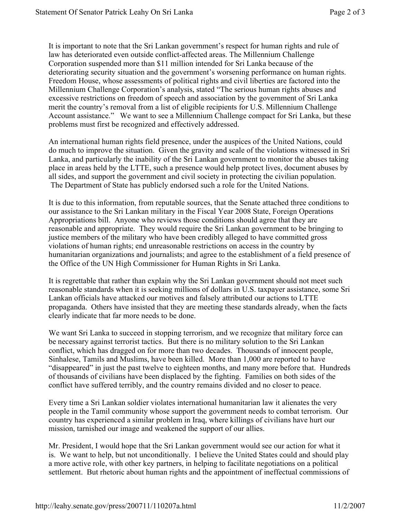It is important to note that the Sri Lankan government's respect for human rights and rule of law has deteriorated even outside conflict-affected areas. The Millennium Challenge Corporation suspended more than \$11 million intended for Sri Lanka because of the deteriorating security situation and the government's worsening performance on human rights. Freedom House, whose assessments of political rights and civil liberties are factored into the Millennium Challenge Corporation's analysis, stated "The serious human rights abuses and excessive restrictions on freedom of speech and association by the government of Sri Lanka merit the country's removal from a list of eligible recipients for U.S. Millennium Challenge Account assistance." We want to see a Millennium Challenge compact for Sri Lanka, but these problems must first be recognized and effectively addressed.

An international human rights field presence, under the auspices of the United Nations, could do much to improve the situation. Given the gravity and scale of the violations witnessed in Sri Lanka, and particularly the inability of the Sri Lankan government to monitor the abuses taking place in areas held by the LTTE, such a presence would help protect lives, document abuses by all sides, and support the government and civil society in protecting the civilian population. The Department of State has publicly endorsed such a role for the United Nations.

It is due to this information, from reputable sources, that the Senate attached three conditions to our assistance to the Sri Lankan military in the Fiscal Year 2008 State, Foreign Operations Appropriations bill. Anyone who reviews those conditions should agree that they are reasonable and appropriate. They would require the Sri Lankan government to be bringing to justice members of the military who have been credibly alleged to have committed gross violations of human rights; end unreasonable restrictions on access in the country by humanitarian organizations and journalists; and agree to the establishment of a field presence of the Office of the UN High Commissioner for Human Rights in Sri Lanka.

It is regrettable that rather than explain why the Sri Lankan government should not meet such reasonable standards when it is seeking millions of dollars in U.S. taxpayer assistance, some Sri Lankan officials have attacked our motives and falsely attributed our actions to LTTE propaganda. Others have insisted that they are meeting these standards already, when the facts clearly indicate that far more needs to be done.

We want Sri Lanka to succeed in stopping terrorism, and we recognize that military force can be necessary against terrorist tactics. But there is no military solution to the Sri Lankan conflict, which has dragged on for more than two decades. Thousands of innocent people, Sinhalese, Tamils and Muslims, have been killed. More than 1,000 are reported to have "disappeared" in just the past twelve to eighteen months, and many more before that. Hundreds of thousands of civilians have been displaced by the fighting. Families on both sides of the conflict have suffered terribly, and the country remains divided and no closer to peace.

Every time a Sri Lankan soldier violates international humanitarian law it alienates the very people in the Tamil community whose support the government needs to combat terrorism. Our country has experienced a similar problem in Iraq, where killings of civilians have hurt our mission, tarnished our image and weakened the support of our allies.

Mr. President, I would hope that the Sri Lankan government would see our action for what it is. We want to help, but not unconditionally. I believe the United States could and should play a more active role, with other key partners, in helping to facilitate negotiations on a political settlement. But rhetoric about human rights and the appointment of ineffectual commissions of